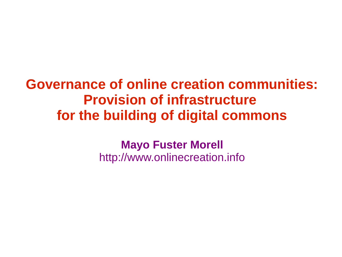### **Governance of online creation communities: Provision of infrastructure for the building of digital commons**

**Mayo Fuster Morell** http://www.onlinecreation.info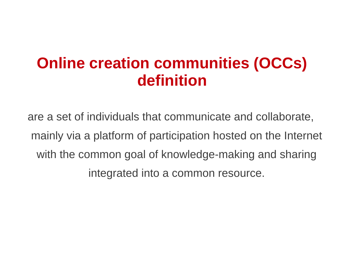### **Online creation communities (OCCs) definition**

are a set of individuals that communicate and collaborate, mainly via a platform of participation hosted on the Internet with the common goal of knowledge-making and sharing integrated into a common resource.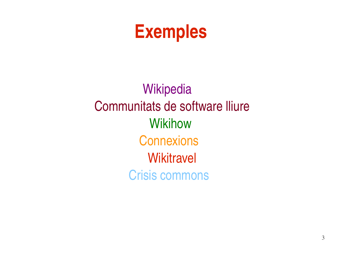## **Exemples**

**Wikipedia** Communitats de software lliure **Wikihow Connexions Wikitravel** Crisis commons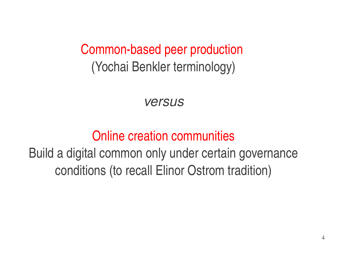Common-based peer production (Yochai Benkler terminology)

*versus*

### Online creation communities

### Build a digital common only under certain governance conditions (to recall Elinor Ostrom tradition)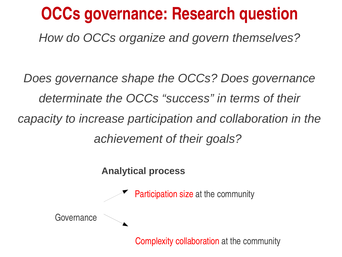## **OCCs governance: Research question**

*How do OCCs organize and govern themselves?*

*Does governance shape the OCCs? Does governance determinate the OCCs "success" in terms of their capacity to increase participation and collaboration in the achievement of their goals?* 

**Analytical process** 



Complexity collaboration at the community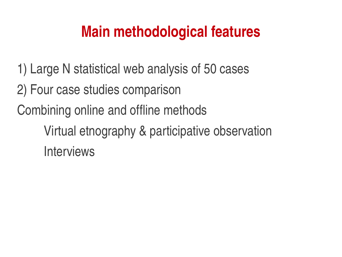### **Main methodological features**

- 1) Large N statistical web analysis of 50 cases
- 2) Four case studies comparison
- Combining online and offline methods
	- Virtual etnography & participative observation Interviews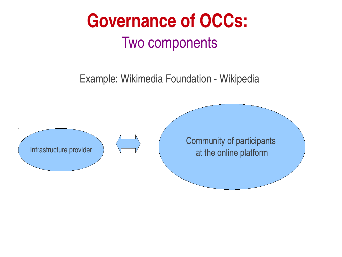

Example: Wikimedia Foundation - Wikipedia

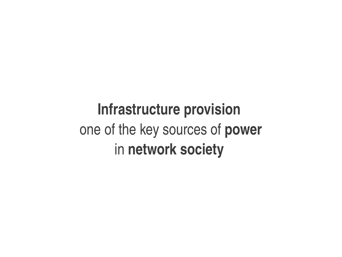## **Infrastructure provision**  one of the key sources of **power**  in **network society**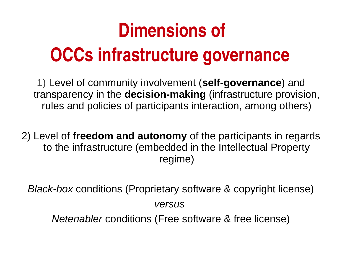## **Dimensions of**

## **OCCs infrastructure governance**

1) Level of community involvement (**self-governance**) and transparency in the **decision-making** (infrastructure provision, rules and policies of participants interaction, among others)

2) Level of **freedom and autonomy** of the participants in regards to the infrastructure (embedded in the Intellectual Property regime)

*Black-box* conditions (Proprietary software & copyright license) *versus Netenabler* conditions (Free software & free license)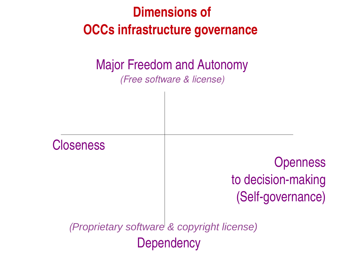### **Dimensions of OCCs infrastructure governance**

### Major Freedom and Autonomy

*(Free software & license)*

  **Closeness Openness** to decision-making (Self-governance)  *(Proprietary software & copyright license)* Dependency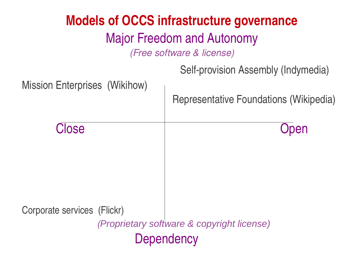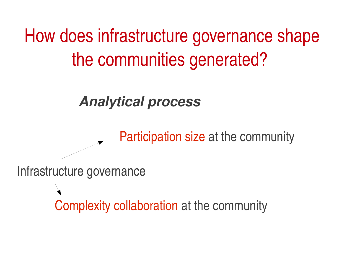How does infrastructure governance shape the communities generated?

Participation size at the community

*Analytical process*

Infrastructure governance

Complexity collaboration at the community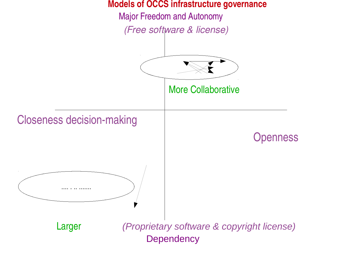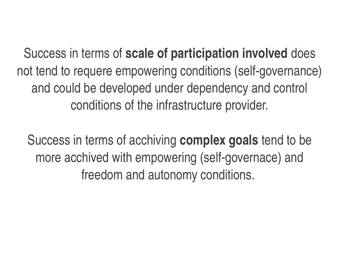Success in terms of **scale of participation involved** does not tend to requere empowering conditions (self-governance) and could be developed under dependency and control conditions of the infrastructure provider.

Success in terms of acchiving **complex goals** tend to be more acchived with empowering (self-governace) and freedom and autonomy conditions.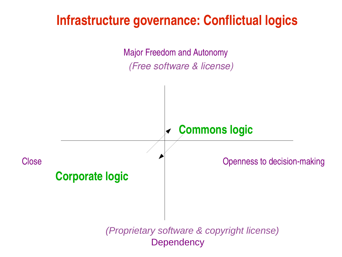#### **Infrastructure governance: Conflictual logics**

Major Freedom and Autonomy *(Free software & license)*

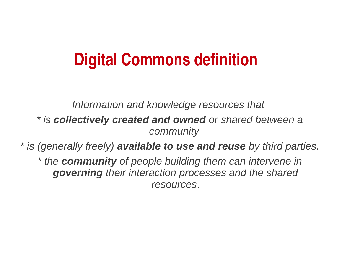## **Digital Commons definition**

*Information and knowledge resources that* 

*\* is collectively created and owned or shared between a community* 

*\* is (generally freely) available to use and reuse by third parties.*

*\* the community of people building them can intervene in governing their interaction processes and the shared resources*.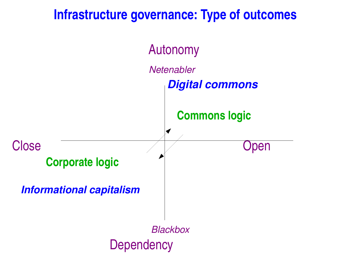#### **Infrastructure governance: Type of outcomes**

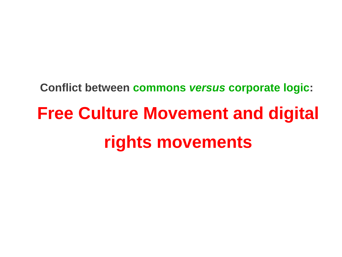**Conflict between commons** *versus* **corporate logic:** 

# **Free Culture Movement and digital rights movements**